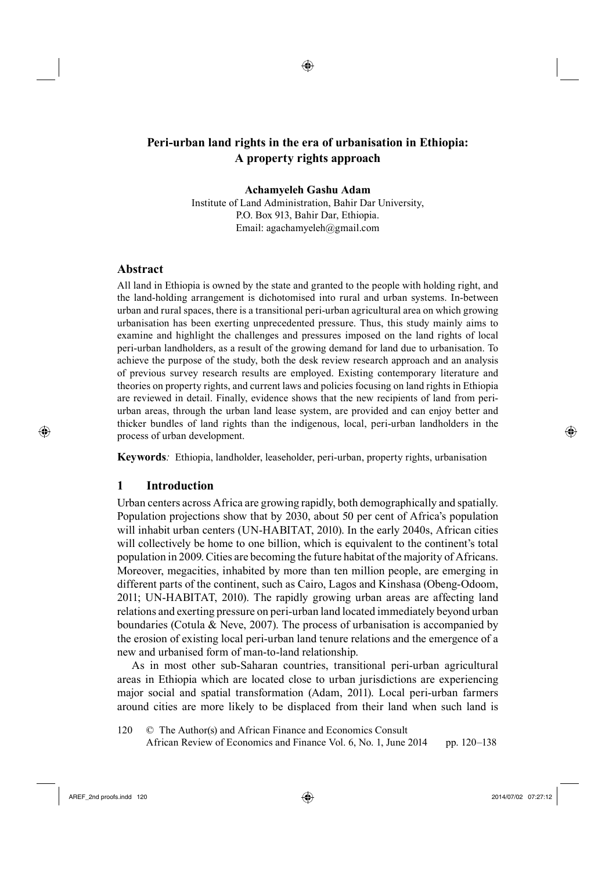◈

**Achamyeleh Gashu Adam**

Institute of Land Administration, Bahir Dar University, P.O. Box 913, Bahir Dar, Ethiopia. Email: agachamyeleh@gmail.com

# **Abstract**

⊕

All land in Ethiopia is owned by the state and granted to the people with holding right, and the land-holding arrangement is dichotomised into rural and urban systems. In-between urban and rural spaces, there is a transitional peri-urban agricultural area on which growing urbanisation has been exerting unprecedented pressure. Thus, this study mainly aims to examine and highlight the challenges and pressures imposed on the land rights of local peri-urban landholders, as a result of the growing demand for land due to urbanisation. To achieve the purpose of the study, both the desk review research approach and an analysis of previous survey research results are employed. Existing contemporary literature and theories on property rights, and current laws and policies focusing on land rights in Ethiopia are reviewed in detail. Finally, evidence shows that the new recipients of land from periurban areas, through the urban land lease system, are provided and can enjoy better and thicker bundles of land rights than the indigenous, local, peri-urban landholders in the process of urban development.

**Keywords***:* Ethiopia, landholder, leaseholder, peri-urban, property rights, urbanisation

### **1 Introduction**

Urban centers across Africa are growing rapidly, both demographically and spatially. Population projections show that by 2030, about 50 per cent of Africa's population will inhabit urban centers (UN-HABITAT, 2010). In the early 2040s, African cities will collectively be home to one billion, which is equivalent to the continent's total population in 2009. Cities are becoming the future habitat of the majority of Africans. Moreover, megacities, inhabited by more than ten million people, are emerging in different parts of the continent, such as Cairo, Lagos and Kinshasa (Obeng-Odoom, 2011; UN-HABITAT, 2010). The rapidly growing urban areas are affecting land relations and exerting pressure on peri-urban land located immediately beyond urban boundaries (Cotula & Neve, 2007). The process of urbanisation is accompanied by the erosion of existing local peri-urban land tenure relations and the emergence of a new and urbanised form of man-to-land relationship.

As in most other sub-Saharan countries, transitional peri-urban agricultural areas in Ethiopia which are located close to urban jurisdictions are experiencing major social and spatial transformation (Adam, 2011). Local peri-urban farmers around cities are more likely to be displaced from their land when such land is

120 © The Author(s) and African Finance and Economics Consult 32 African Review of Economics and Finance Vol. 6, No. 1, June 2014 pp. 120–138

AREF\_2nd proofs.indd 120 2014/07/02 07:27:12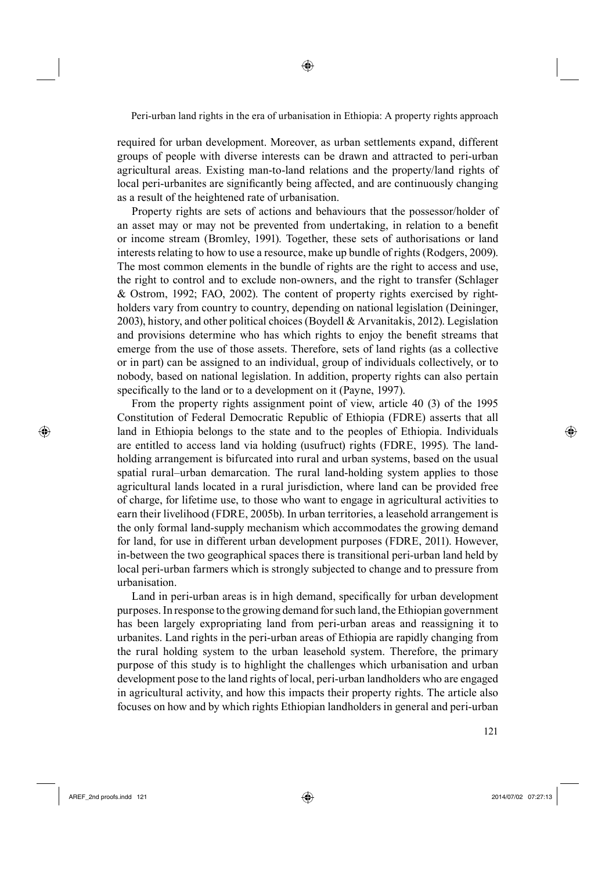required for urban development. Moreover, as urban settlements expand, different groups of people with diverse interests can be drawn and attracted to peri-urban agricultural areas. Existing man-to-land relations and the property/land rights of local peri-urbanites are significantly being affected, and are continuously changing as a result of the heightened rate of urbanisation.

Property rights are sets of actions and behaviours that the possessor/holder of an asset may or may not be prevented from undertaking, in relation to a benefit or income stream (Bromley, 1991). Together, these sets of authorisations or land interests relating to how to use a resource, make up bundle of rights (Rodgers, 2009). The most common elements in the bundle of rights are the right to access and use, the right to control and to exclude non-owners, and the right to transfer (Schlager & Ostrom, 1992; FAO, 2002). The content of property rights exercised by rightholders vary from country to country, depending on national legislation (Deininger, 2003), history, and other political choices (Boydell & Arvanitakis, 2012). Legislation and provisions determine who has which rights to enjoy the benefit streams that emerge from the use of those assets. Therefore, sets of land rights (as a collective or in part) can be assigned to an individual, group of individuals collectively, or to nobody, based on national legislation. In addition, property rights can also pertain specifically to the land or to a development on it (Payne, 1997).

From the property rights assignment point of view, article 40 (3) of the 1995 Constitution of Federal Democratic Republic of Ethiopia (FDRE) asserts that all land in Ethiopia belongs to the state and to the peoples of Ethiopia. Individuals are entitled to access land via holding (usufruct) rights (FDRE, 1995). The landholding arrangement is bifurcated into rural and urban systems, based on the usual spatial rural–urban demarcation. The rural land-holding system applies to those agricultural lands located in a rural jurisdiction, where land can be provided free of charge, for lifetime use, to those who want to engage in agricultural activities to earn their livelihood (FDRE, 2005b). In urban territories, a leasehold arrangement is the only formal land-supply mechanism which accommodates the growing demand for land, for use in different urban development purposes (FDRE, 2011). However, in-between the two geographical spaces there is transitional peri-urban land held by local peri-urban farmers which is strongly subjected to change and to pressure from urbanisation.

Land in peri-urban areas is in high demand, specifically for urban development purposes. In response to the growing demand for such land, the Ethiopian government has been largely expropriating land from peri-urban areas and reassigning it to urbanites. Land rights in the peri-urban areas of Ethiopia are rapidly changing from the rural holding system to the urban leasehold system. Therefore, the primary purpose of this study is to highlight the challenges which urbanisation and urban development pose to the land rights of local, peri-urban landholders who are engaged in agricultural activity, and how this impacts their property rights. The article also focuses on how and by which rights Ethiopian landholders in general and peri-urban

⊕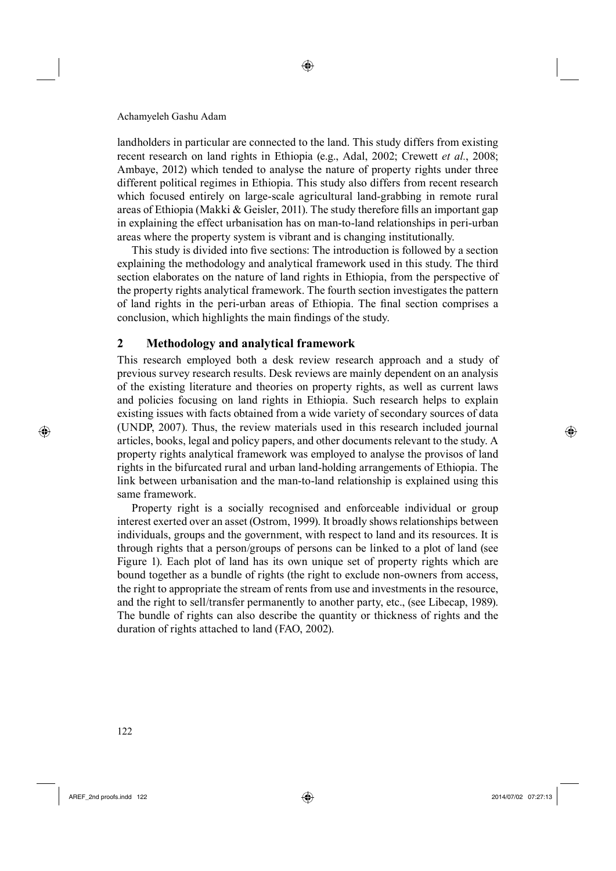landholders in particular are connected to the land. This study differs from existing recent research on land rights in Ethiopia (e.g., Adal, 2002; Crewett *et al.*, 2008; Ambaye, 2012) which tended to analyse the nature of property rights under three different political regimes in Ethiopia. This study also differs from recent research which focused entirely on large-scale agricultural land-grabbing in remote rural areas of Ethiopia (Makki & Geisler, 2011). The study therefore fills an important gap in explaining the effect urbanisation has on man-to-land relationships in peri-urban areas where the property system is vibrant and is changing institutionally.

◈

This study is divided into five sections: The introduction is followed by a section explaining the methodology and analytical framework used in this study. The third section elaborates on the nature of land rights in Ethiopia, from the perspective of the property rights analytical framework. The fourth section investigates the pattern of land rights in the peri-urban areas of Ethiopia. The final section comprises a conclusion, which highlights the main findings of the study.

### **2 Methodology and analytical framework**

This research employed both a desk review research approach and a study of previous survey research results. Desk reviews are mainly dependent on an analysis of the existing literature and theories on property rights, as well as current laws and policies focusing on land rights in Ethiopia. Such research helps to explain existing issues with facts obtained from a wide variety of secondary sources of data (UNDP, 2007). Thus, the review materials used in this research included journal articles, books, legal and policy papers, and other documents relevant to the study. A property rights analytical framework was employed to analyse the provisos of land rights in the bifurcated rural and urban land-holding arrangements of Ethiopia. The link between urbanisation and the man-to-land relationship is explained using this same framework.

Property right is a socially recognised and enforceable individual or group interest exerted over an asset (Ostrom, 1999). It broadly shows relationships between individuals, groups and the government, with respect to land and its resources. It is through rights that a person/groups of persons can be linked to a plot of land (see Figure 1). Each plot of land has its own unique set of property rights which are bound together as a bundle of rights (the right to exclude non-owners from access, the right to appropriate the stream of rents from use and investments in the resource, and the right to sell/transfer permanently to another party, etc., (see Libecap, 1989). The bundle of rights can also describe the quantity or thickness of rights and the duration of rights attached to land (FAO, 2002).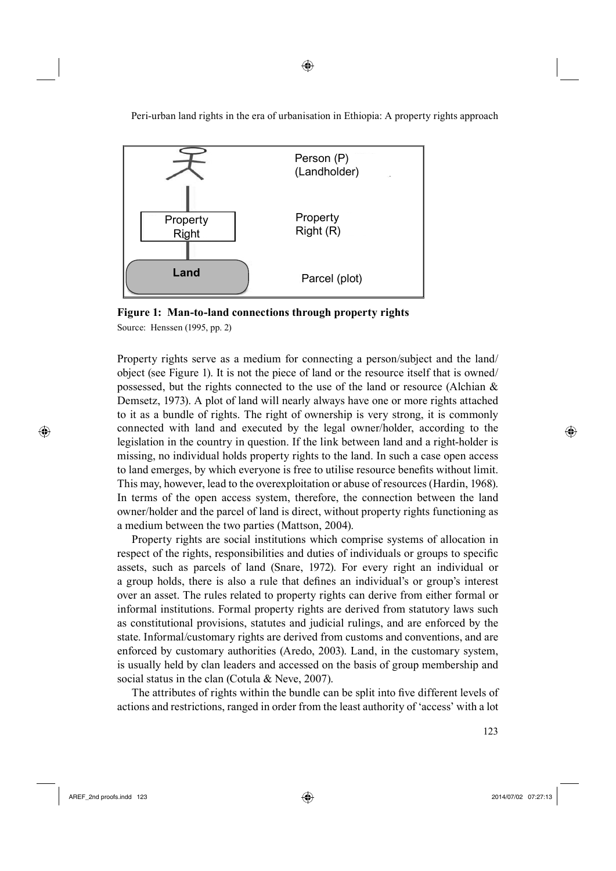

**Figure 1: Man-to-land connections through property rights**

Source: Henssen (1995, pp. 2)

Property rights serve as a medium for connecting a person/subject and the land/ object (see Figure 1). It is not the piece of land or the resource itself that is owned/ possessed, but the rights connected to the use of the land or resource (Alchian & Demsetz, 1973). A plot of land will nearly always have one or more rights attached to it as a bundle of rights. The right of ownership is very strong, it is commonly connected with land and executed by the legal owner/holder, according to the legislation in the country in question. If the link between land and a right-holder is missing, no individual holds property rights to the land. In such a case open access to land emerges, by which everyone is free to utilise resource benefits without limit. This may, however, lead to the overexploitation or abuse of resources (Hardin, 1968). In terms of the open access system, therefore, the connection between the land owner/holder and the parcel of land is direct, without property rights functioning as a medium between the two parties (Mattson, 2004).

Property rights are social institutions which comprise systems of allocation in respect of the rights, responsibilities and duties of individuals or groups to specific assets, such as parcels of land (Snare, 1972). For every right an individual or a group holds, there is also a rule that defines an individual's or group's interest over an asset. The rules related to property rights can derive from either formal or informal institutions. Formal property rights are derived from statutory laws such as constitutional provisions, statutes and judicial rulings, and are enforced by the state. Informal/customary rights are derived from customs and conventions, and are enforced by customary authorities (Aredo, 2003). Land, in the customary system, is usually held by clan leaders and accessed on the basis of group membership and social status in the clan (Cotula & Neve, 2007).

The attributes of rights within the bundle can be split into five different levels of actions and restrictions, ranged in order from the least authority of 'access' with a lot

 $\frac{1}{2}$  123

⊕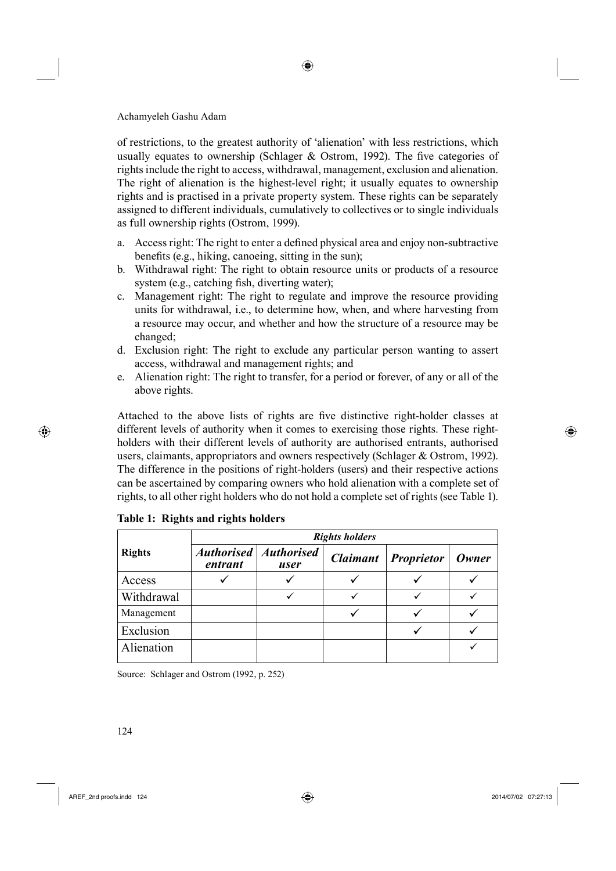of restrictions, to the greatest authority of 'alienation' with less restrictions, which usually equates to ownership (Schlager  $\&$  Ostrom, 1992). The five categories of rights include the right to access, withdrawal, management, exclusion and alienation. The right of alienation is the highest-level right; it usually equates to ownership rights and is practised in a private property system. These rights can be separately assigned to different individuals, cumulatively to collectives or to single individuals as full ownership rights (Ostrom, 1999).

◈

- a. Access right: The right to enter a defined physical area and enjoy non-subtractive benefits (e.g., hiking, canoeing, sitting in the sun);
- b. Withdrawal right: The right to obtain resource units or products of a resource system (e.g., catching fish, diverting water);
- c. Management right: The right to regulate and improve the resource providing units for withdrawal, i.e., to determine how, when, and where harvesting from a resource may occur, and whether and how the structure of a resource may be changed;
- d. Exclusion right: The right to exclude any particular person wanting to assert access, withdrawal and management rights; and
- e. Alienation right: The right to transfer, for a period or forever, of any or all of the above rights.

Attached to the above lists of rights are five distinctive right-holder classes at different levels of authority when it comes to exercising those rights. These rightholders with their different levels of authority are authorised entrants, authorised users, claimants, appropriators and owners respectively (Schlager & Ostrom, 1992). The difference in the positions of right-holders (users) and their respective actions can be ascertained by comparing owners who hold alienation with a complete set of rights, to all other right holders who do not hold a complete set of rights (see Table 1).

|               | <b>Rights holders</b> |                                 |  |                            |              |
|---------------|-----------------------|---------------------------------|--|----------------------------|--------------|
| <b>Rights</b> | entrant               | Authorised   Authorised<br>user |  | <b>Claimant</b> Proprietor | <b>Owner</b> |
| Access        |                       |                                 |  |                            |              |
| Withdrawal    |                       |                                 |  |                            |              |
| Management    |                       |                                 |  |                            |              |
| Exclusion     |                       |                                 |  |                            |              |
| Alienation    |                       |                                 |  |                            |              |

### **Table 1: Rights and rights holders**

Source: Schlager and Ostrom (1992, p. 252)

 $AREF\_2$ nd proofs.indd 124 2014/07/02 07:27:13

⊕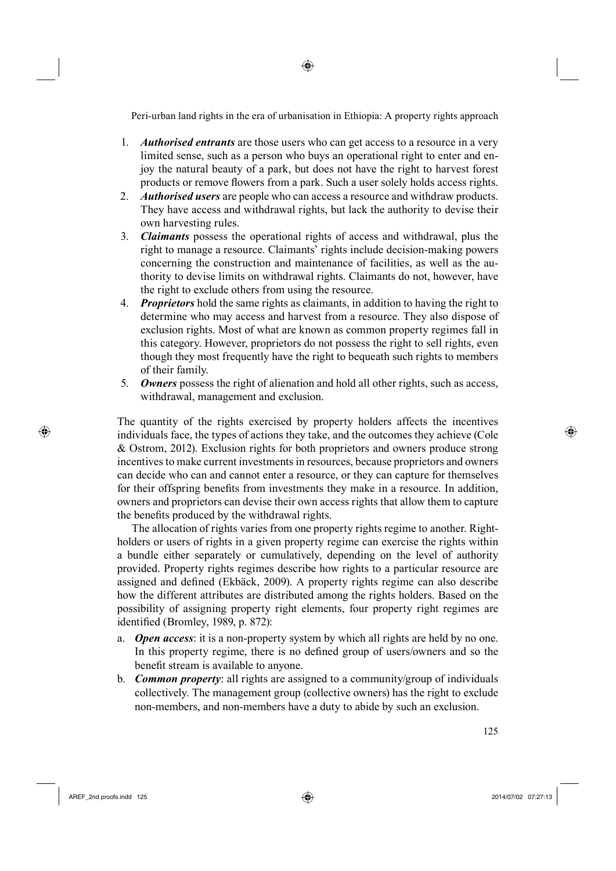- 1. *Authorised entrants* are those users who can get access to a resource in a very limited sense, such as a person who buys an operational right to enter and enjoy the natural beauty of a park, but does not have the right to harvest forest products or remove flowers from a park. Such a user solely holds access rights.
- 2. *Authorised users* are people who can access a resource and withdraw products. They have access and withdrawal rights, but lack the authority to devise their own harvesting rules.
- 3. *Claimants* possess the operational rights of access and withdrawal, plus the right to manage a resource. Claimants' rights include decision-making powers concerning the construction and maintenance of facilities, as well as the authority to devise limits on withdrawal rights. Claimants do not, however, have the right to exclude others from using the resource.
- 4. *Proprietors* hold the same rights as claimants, in addition to having the right to determine who may access and harvest from a resource. They also dispose of exclusion rights. Most of what are known as common property regimes fall in this category. However, proprietors do not possess the right to sell rights, even though they most frequently have the right to bequeath such rights to members of their family.
- 5. *Owners* possess the right of alienation and hold all other rights, such as access, withdrawal, management and exclusion.

The quantity of the rights exercised by property holders affects the incentives individuals face, the types of actions they take, and the outcomes they achieve (Cole & Ostrom, 2012). Exclusion rights for both proprietors and owners produce strong incentives to make current investments in resources, because proprietors and owners can decide who can and cannot enter a resource, or they can capture for themselves for their offspring benefits from investments they make in a resource. In addition, owners and proprietors can devise their own access rights that allow them to capture the benefits produced by the withdrawal rights.

The allocation of rights varies from one property rights regime to another. Rightholders or users of rights in a given property regime can exercise the rights within a bundle either separately or cumulatively, depending on the level of authority provided. Property rights regimes describe how rights to a particular resource are assigned and defined (Ekbäck, 2009). A property rights regime can also describe how the different attributes are distributed among the rights holders. Based on the possibility of assigning property right elements, four property right regimes are identified (Bromley, 1989, p. 872):

- a. *Open access*: it is a non-property system by which all rights are held by no one. In this property regime, there is no defined group of users/owners and so the benefit stream is available to anyone.
- b. *Common property*: all rights are assigned to a community/group of individuals collectively. The management group (collective owners) has the right to exclude non-members, and non-members have a duty to abide by such an exclusion.

AREF\_2nd proofs.indd 125 2014/07/02 07:27:13

⊕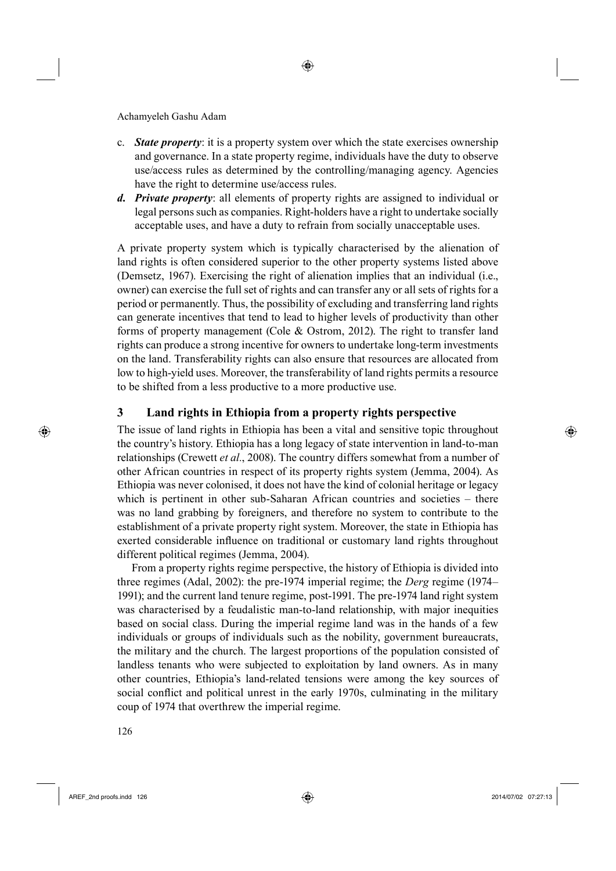- c. *State property*: it is a property system over which the state exercises ownership and governance. In a state property regime, individuals have the duty to observe use/access rules as determined by the controlling/managing agency. Agencies have the right to determine use/access rules.
- *d. Private property*: all elements of property rights are assigned to individual or legal persons such as companies. Right-holders have a right to undertake socially acceptable uses, and have a duty to refrain from socially unacceptable uses.

A private property system which is typically characterised by the alienation of land rights is often considered superior to the other property systems listed above (Demsetz, 1967). Exercising the right of alienation implies that an individual (i.e., owner) can exercise the full set of rights and can transfer any or all sets of rights for a period or permanently. Thus, the possibility of excluding and transferring land rights can generate incentives that tend to lead to higher levels of productivity than other forms of property management (Cole & Ostrom, 2012). The right to transfer land rights can produce a strong incentive for owners to undertake long-term investments on the land. Transferability rights can also ensure that resources are allocated from low to high-yield uses. Moreover, the transferability of land rights permits a resource to be shifted from a less productive to a more productive use.

# **3 Land rights in Ethiopia from a property rights perspective**

The issue of land rights in Ethiopia has been a vital and sensitive topic throughout the country's history. Ethiopia has a long legacy of state intervention in land-to-man relationships (Crewett *et al.*, 2008). The country differs somewhat from a number of other African countries in respect of its property rights system (Jemma, 2004). As Ethiopia was never colonised, it does not have the kind of colonial heritage or legacy which is pertinent in other sub-Saharan African countries and societies – there was no land grabbing by foreigners, and therefore no system to contribute to the establishment of a private property right system. Moreover, the state in Ethiopia has exerted considerable influence on traditional or customary land rights throughout different political regimes (Jemma, 2004).

151From a property rights regime perspective, the history of Ethiopia is divided into three regimes (Adal, 2002): the pre-1974 imperial regime; the *Derg* regime (1974– 1991); and the current land tenure regime, post-1991. The pre-1974 land right system was characterised by a feudalistic man-to-land relationship, with major inequities based on social class. During the imperial regime land was in the hands of a few individuals or groups of individuals such as the nobility, government bureaucrats, the military and the church. The largest proportions of the population consisted of landless tenants who were subjected to exploitation by land owners. As in many other countries, Ethiopia's land-related tensions were among the key sources of social conflict and political unrest in the early 1970s, culminating in the military coup of 1974 that overthrew the imperial regime.

5126

AREF\_2nd proofs.indd 126 2014/07/02 07:27:13

⊕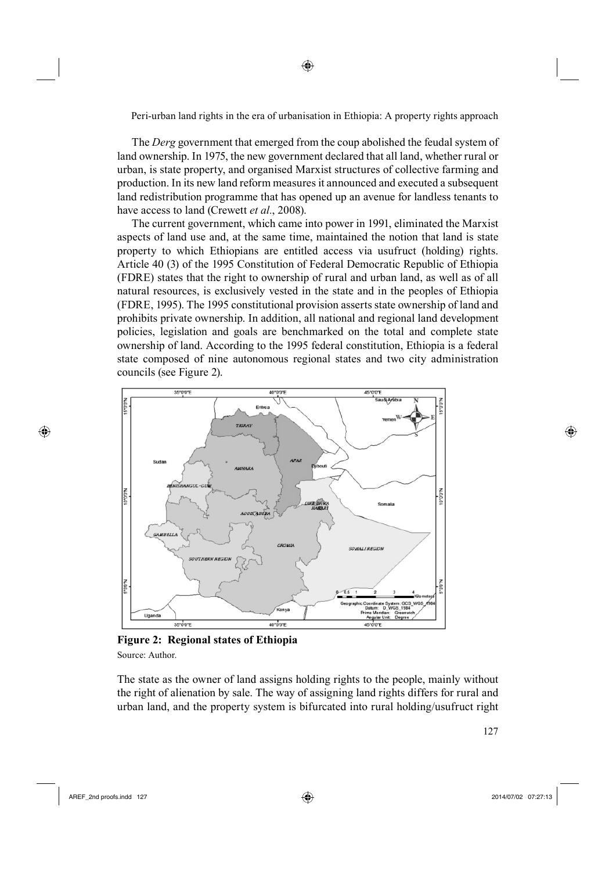The *Derg* government that emerged from the coup abolished the feudal system of land ownership. In 1975, the new government declared that all land, whether rural or urban, is state property, and organised Marxist structures of collective farming and production. In its new land reform measures it announced and executed a subsequent land redistribution programme that has opened up an avenue for landless tenants to have access to land (Crewett *et al.*, 2008).

The current government, which came into power in 1991, eliminated the Marxist aspects of land use and, at the same time, maintained the notion that land is state property to which Ethiopians are entitled access via usufruct (holding) rights. Article 40 (3) of the 1995 Constitution of Federal Democratic Republic of Ethiopia (FDRE) states that the right to ownership of rural and urban land, as well as of all natural resources, is exclusively vested in the state and in the peoples of Ethiopia (FDRE, 1995). The 1995 constitutional provision asserts state ownership of land and prohibits private ownership. In addition, all national and regional land development policies, legislation and goals are benchmarked on the total and complete state ownership of land. According to the 1995 federal constitution, Ethiopia is a federal state composed of nine autonomous regional states and two city administration councils (see Figure 2).



**Figure 2: Regional states of Ethiopia** Source: Author.

The state as the owner of land assigns holding rights to the people, mainly without the right of alienation by sale. The way of assigning land rights differs for rural and urban land, and the property system is bifurcated into rural holding/usufruct right

⊕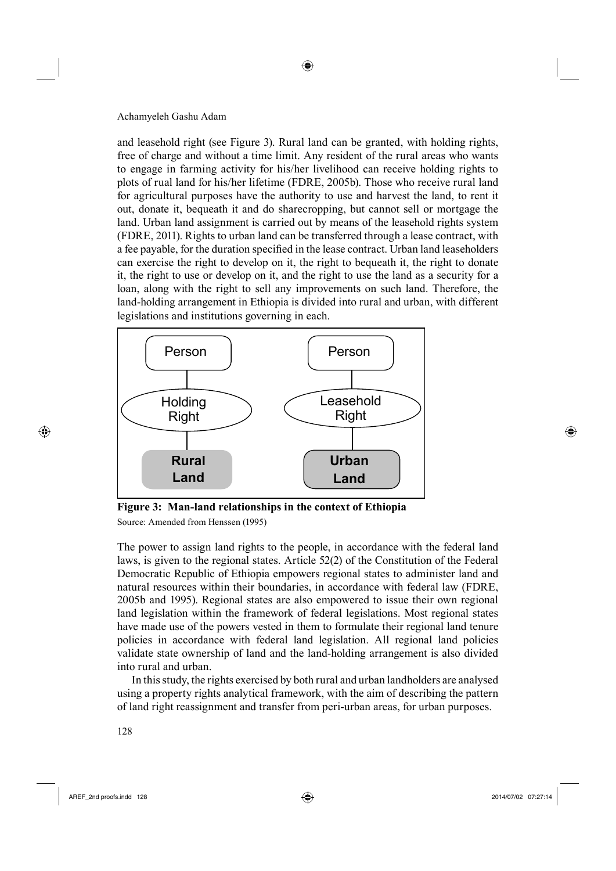and leasehold right (see Figure 3). Rural land can be granted, with holding rights, free of charge and without a time limit. Any resident of the rural areas who wants to engage in farming activity for his/her livelihood can receive holding rights to plots of rual land for his/her lifetime (FDRE, 2005b). Those who receive rural land for agricultural purposes have the authority to use and harvest the land, to rent it out, donate it, bequeath it and do sharecropping, but cannot sell or mortgage the land. Urban land assignment is carried out by means of the leasehold rights system (FDRE, 2011). Rights to urban land can be transferred through a lease contract, with a fee payable, for the duration specified in the lease contract. Urban land leaseholders can exercise the right to develop on it, the right to bequeath it, the right to donate it, the right to use or develop on it, and the right to use the land as a security for a loan, along with the right to sell any improvements on such land. Therefore, the land-holding arrangement in Ethiopia is divided into rural and urban, with different legislations and institutions governing in each.



**Figure 3: Man-land relationships in the context of Ethiopia**  Source: Amended from Henssen (1995)

The power to assign land rights to the people, in accordance with the federal land laws, is given to the regional states. Article 52(2) of the Constitution of the Federal Democratic Republic of Ethiopia empowers regional states to administer land and natural resources within their boundaries, in accordance with federal law (FDRE, 2005b and 1995). Regional states are also empowered to issue their own regional land legislation within the framework of federal legislations. Most regional states have made use of the powers vested in them to formulate their regional land tenure policies in accordance with federal land legislation. All regional land policies validate state ownership of land and the land-holding arrangement is also divided into rural and urban.

In this study, the rights exercised by both rural and urban landholders are analysed using a property rights analytical framework, with the aim of describing the pattern of land right reassignment and transfer from peri-urban areas, for urban purposes.

5128

AREF\_2nd proofs.indd 128 2014/07/02 07:27:14

⊕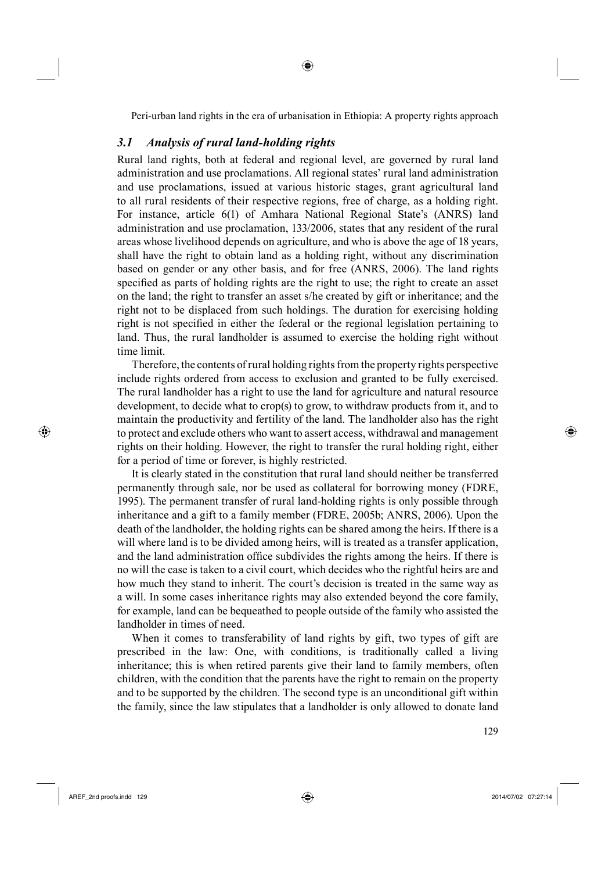◈

### *3.1 Analysis of rural land-holding rights*

Rural land rights, both at federal and regional level, are governed by rural land administration and use proclamations. All regional states' rural land administration and use proclamations, issued at various historic stages, grant agricultural land to all rural residents of their respective regions, free of charge, as a holding right. For instance, article 6(1) of Amhara National Regional State's (ANRS) land administration and use proclamation, 133/2006, states that any resident of the rural areas whose livelihood depends on agriculture, and who is above the age of 18 years, shall have the right to obtain land as a holding right, without any discrimination based on gender or any other basis, and for free (ANRS, 2006). The land rights specified as parts of holding rights are the right to use; the right to create an asset on the land; the right to transfer an asset s/he created by gift or inheritance; and the right not to be displaced from such holdings. The duration for exercising holding right is not specified in either the federal or the regional legislation pertaining to land. Thus, the rural landholder is assumed to exercise the holding right without time limit.

155Therefore, the contents of rural holding rights from the property rights perspective include rights ordered from access to exclusion and granted to be fully exercised. The rural landholder has a right to use the land for agriculture and natural resource development, to decide what to crop(s) to grow, to withdraw products from it, and to maintain the productivity and fertility of the land. The landholder also has the right to protect and exclude others who want to assert access, withdrawal and management rights on their holding. However, the right to transfer the rural holding right, either for a period of time or forever, is highly restricted.

It is clearly stated in the constitution that rural land should neither be transferred permanently through sale, nor be used as collateral for borrowing money (FDRE, 1995). The permanent transfer of rural land-holding rights is only possible through inheritance and a gift to a family member (FDRE, 2005b; ANRS, 2006). Upon the death of the landholder, the holding rights can be shared among the heirs. If there is a will where land is to be divided among heirs, will is treated as a transfer application, and the land administration office subdivides the rights among the heirs. If there is no will the case is taken to a civil court, which decides who the rightful heirs are and how much they stand to inherit. The court's decision is treated in the same way as a will. In some cases inheritance rights may also extended beyond the core family, for example, land can be bequeathed to people outside of the family who assisted the landholder in times of need.

When it comes to transferability of land rights by gift, two types of gift are prescribed in the law: One, with conditions, is traditionally called a living inheritance; this is when retired parents give their land to family members, often children, with the condition that the parents have the right to remain on the property and to be supported by the children. The second type is an unconditional gift within the family, since the law stipulates that a landholder is only allowed to donate land

⊕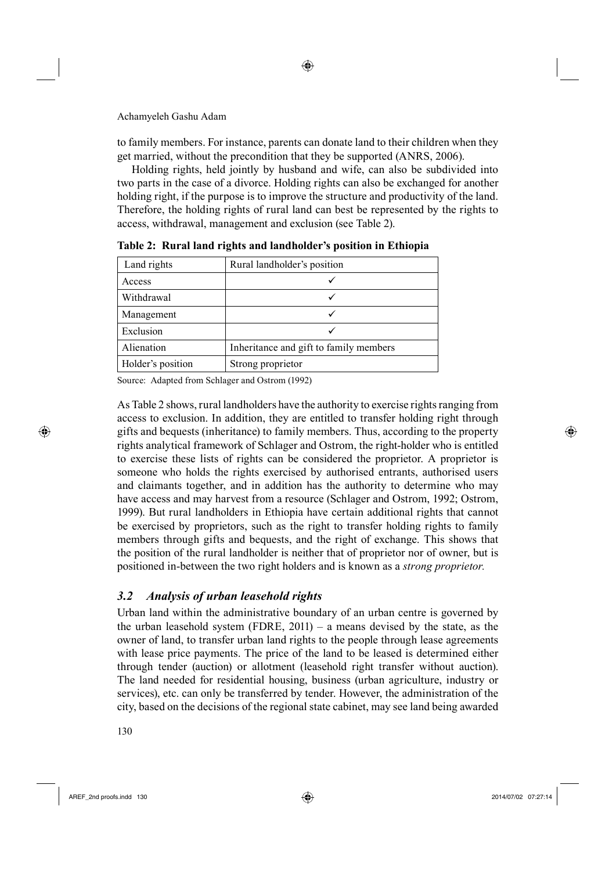to family members. For instance, parents can donate land to their children when they get married, without the precondition that they be supported (ANRS, 2006).

◈

158Holding rights, held jointly by husband and wife, can also be subdivided into two parts in the case of a divorce. Holding rights can also be exchanged for another holding right, if the purpose is to improve the structure and productivity of the land. Therefore, the holding rights of rural land can best be represented by the rights to access, withdrawal, management and exclusion (see Table 2).

| Land rights       | Rural landholder's position            |  |
|-------------------|----------------------------------------|--|
| Access            |                                        |  |
| Withdrawal        |                                        |  |
| Management        |                                        |  |
| Exclusion         |                                        |  |
| Alienation        | Inheritance and gift to family members |  |
| Holder's position | Strong proprietor                      |  |

**Table 2: Rural land rights and landholder's position in Ethiopia**

Source: Adapted from Schlager and Ostrom (1992)

As Table 2 shows, rural landholders have the authority to exercise rights ranging from access to exclusion. In addition, they are entitled to transfer holding right through gifts and bequests (inheritance) to family members. Thus, according to the property rights analytical framework of Schlager and Ostrom, the right-holder who is entitled to exercise these lists of rights can be considered the proprietor. A proprietor is someone who holds the rights exercised by authorised entrants, authorised users and claimants together, and in addition has the authority to determine who may have access and may harvest from a resource (Schlager and Ostrom, 1992; Ostrom, 1999). But rural landholders in Ethiopia have certain additional rights that cannot be exercised by proprietors, such as the right to transfer holding rights to family members through gifts and bequests, and the right of exchange. This shows that the position of the rural landholder is neither that of proprietor nor of owner, but is positioned in-between the two right holders and is known as a *strong proprietor.*

### *3.2 Analysis of urban leasehold rights*

Urban land within the administrative boundary of an urban centre is governed by the urban leasehold system (FDRE, 2011) – a means devised by the state, as the owner of land, to transfer urban land rights to the people through lease agreements with lease price payments. The price of the land to be leased is determined either through tender (auction) or allotment (leasehold right transfer without auction). The land needed for residential housing, business (urban agriculture, industry or services), etc. can only be transferred by tender. However, the administration of the city, based on the decisions of the regional state cabinet, may see land being awarded

130

AREF\_2nd proofs.indd 130 2014/07/02 07:27:14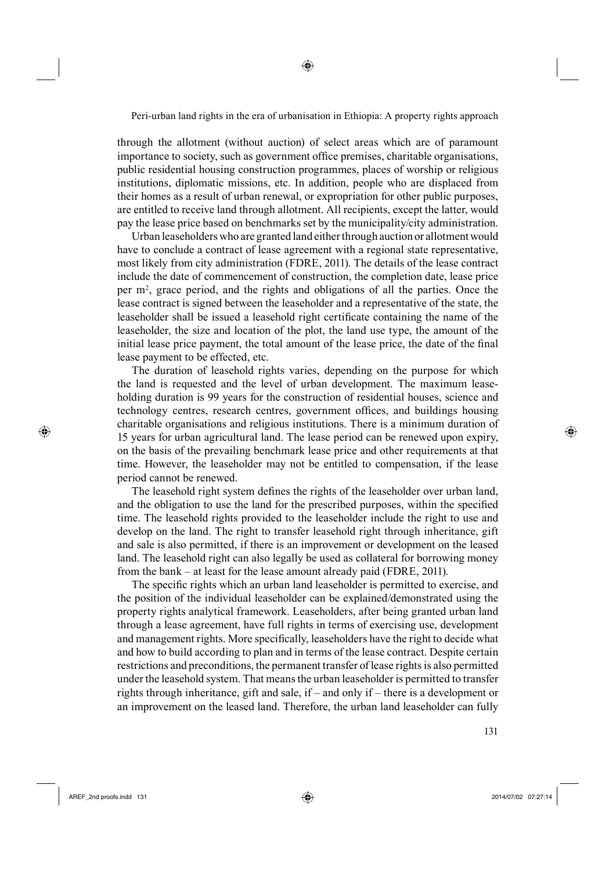through the allotment (without auction) of select areas which are of paramount importance to society, such as government office premises, charitable organisations, public residential housing construction programmes, places of worship or religious institutions, diplomatic missions, etc. In addition, people who are displaced from their homes as a result of urban renewal, or expropriation for other public purposes, are entitled to receive land through allotment. All recipients, except the latter, would pay the lease price based on benchmarks set by the municipality/city administration.

Urban leaseholders who are granted land either through auction or allotment would have to conclude a contract of lease agreement with a regional state representative, most likely from city administration (FDRE, 2011). The details of the lease contract include the date of commencement of construction, the completion date, lease price per m2 , grace period, and the rights and obligations of all the parties. Once the lease contract is signed between the leaseholder and a representative of the state, the leaseholder shall be issued a leasehold right certificate containing the name of the leaseholder, the size and location of the plot, the land use type, the amount of the initial lease price payment, the total amount of the lease price, the date of the final lease payment to be effected, etc.

The duration of leasehold rights varies, depending on the purpose for which the land is requested and the level of urban development. The maximum leaseholding duration is 99 years for the construction of residential houses, science and technology centres, research centres, government offices, and buildings housing charitable organisations and religious institutions. There is a minimum duration of 15 years for urban agricultural land. The lease period can be renewed upon expiry, on the basis of the prevailing benchmark lease price and other requirements at that time. However, the leaseholder may not be entitled to compensation, if the lease period cannot be renewed.

The leasehold right system defines the rights of the leaseholder over urban land, and the obligation to use the land for the prescribed purposes, within the specified time. The leasehold rights provided to the leaseholder include the right to use and develop on the land. The right to transfer leasehold right through inheritance, gift and sale is also permitted, if there is an improvement or development on the leased land. The leasehold right can also legally be used as collateral for borrowing money from the bank – at least for the lease amount already paid (FDRE, 2011).

The specific rights which an urban land leaseholder is permitted to exercise, and the position of the individual leaseholder can be explained/demonstrated using the property rights analytical framework. Leaseholders, after being granted urban land through a lease agreement, have full rights in terms of exercising use, development and management rights. More specifically, leaseholders have the right to decide what and how to build according to plan and in terms of the lease contract. Despite certain restrictions and preconditions, the permanent transfer of lease rights is also permitted under the leasehold system. That means the urban leaseholder is permitted to transfer rights through inheritance, gift and sale, if – and only if – there is a development or an improvement on the leased land. Therefore, the urban land leaseholder can fully

⊕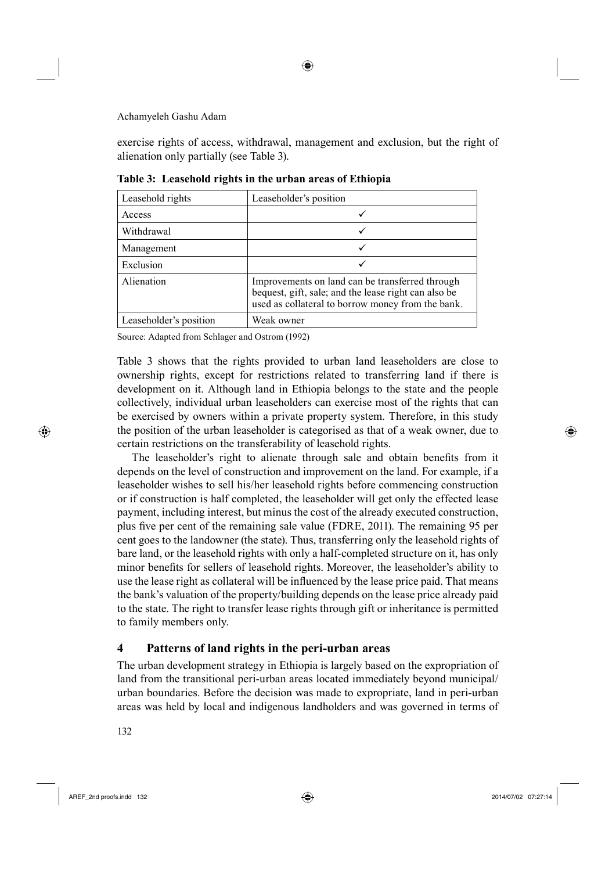exercise rights of access, withdrawal, management and exclusion, but the right of alienation only partially (see Table 3).

| Leasehold rights       | Leaseholder's position                                                                                                                                       |
|------------------------|--------------------------------------------------------------------------------------------------------------------------------------------------------------|
| Access                 |                                                                                                                                                              |
| Withdrawal             | ✓                                                                                                                                                            |
| Management             |                                                                                                                                                              |
| Exclusion              | ✓                                                                                                                                                            |
| Alienation             | Improvements on land can be transferred through<br>bequest, gift, sale; and the lease right can also be<br>used as collateral to borrow money from the bank. |
| Leaseholder's position | Weak owner                                                                                                                                                   |

**Table 3: Leasehold rights in the urban areas of Ethiopia**

Source: Adapted from Schlager and Ostrom (1992)

Table 3 shows that the rights provided to urban land leaseholders are close to ownership rights, except for restrictions related to transferring land if there is development on it. Although land in Ethiopia belongs to the state and the people collectively, individual urban leaseholders can exercise most of the rights that can be exercised by owners within a private property system. Therefore, in this study the position of the urban leaseholder is categorised as that of a weak owner, due to certain restrictions on the transferability of leasehold rights.

The leaseholder's right to alienate through sale and obtain benefits from it depends on the level of construction and improvement on the land. For example, if a leaseholder wishes to sell his/her leasehold rights before commencing construction or if construction is half completed, the leaseholder will get only the effected lease payment, including interest, but minus the cost of the already executed construction, plus five per cent of the remaining sale value (FDRE, 2011). The remaining 95 per cent goes to the landowner (the state). Thus, transferring only the leasehold rights of bare land, or the leasehold rights with only a half-completed structure on it, has only minor benefits for sellers of leasehold rights. Moreover, the leaseholder's ability to use the lease right as collateral will be influenced by the lease price paid. That means the bank's valuation of the property/building depends on the lease price already paid to the state. The right to transfer lease rights through gift or inheritance is permitted to family members only.

### **4 Patterns of land rights in the peri-urban areas**

The urban development strategy in Ethiopia is largely based on the expropriation of land from the transitional peri-urban areas located immediately beyond municipal/ urban boundaries. Before the decision was made to expropriate, land in peri-urban areas was held by local and indigenous landholders and was governed in terms of

132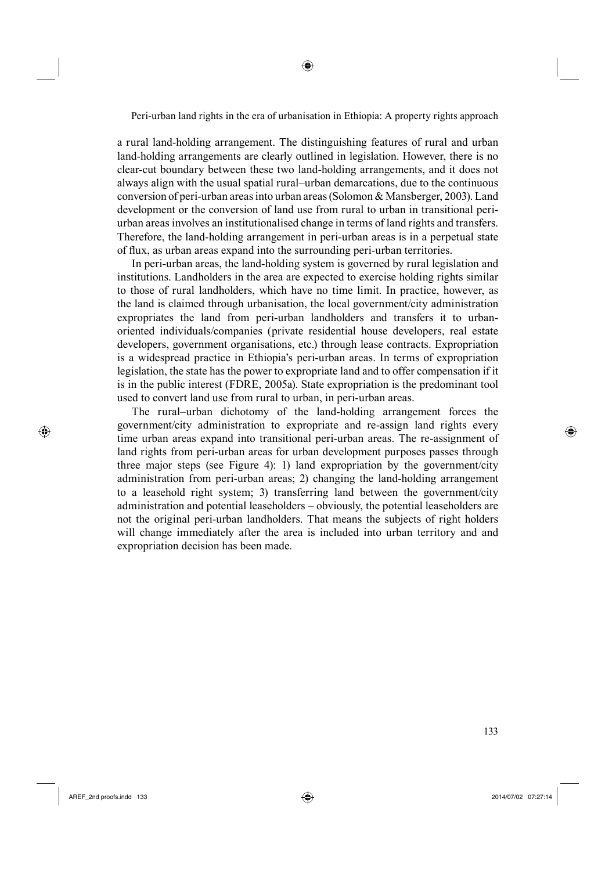◈

a rural land-holding arrangement. The distinguishing features of rural and urban land-holding arrangements are clearly outlined in legislation. However, there is no clear-cut boundary between these two land-holding arrangements, and it does not always align with the usual spatial rural–urban demarcations, due to the continuous conversion of peri-urban areas into urban areas (Solomon & Mansberger, 2003). Land development or the conversion of land use from rural to urban in transitional periurban areas involves an institutionalised change in terms of land rights and transfers. Therefore, the land-holding arrangement in peri-urban areas is in a perpetual state of flux, as urban areas expand into the surrounding peri-urban territories.

In peri-urban areas, the land-holding system is governed by rural legislation and institutions. Landholders in the area are expected to exercise holding rights similar to those of rural landholders, which have no time limit. In practice, however, as the land is claimed through urbanisation, the local government/city administration expropriates the land from peri-urban landholders and transfers it to urbanoriented individuals/companies (private residential house developers, real estate developers, government organisations, etc.) through lease contracts. Expropriation is a widespread practice in Ethiopia's peri-urban areas. In terms of expropriation legislation, the state has the power to expropriate land and to offer compensation if it is in the public interest (FDRE, 2005a). State expropriation is the predominant tool used to convert land use from rural to urban, in peri-urban areas.

The rural–urban dichotomy of the land-holding arrangement forces the government/city administration to expropriate and re-assign land rights every time urban areas expand into transitional peri-urban areas. The re-assignment of land rights from peri-urban areas for urban development purposes passes through three major steps (see Figure 4): 1) land expropriation by the government/city administration from peri-urban areas; 2) changing the land-holding arrangement to a leasehold right system; 3) transferring land between the government/city administration and potential leaseholders – obviously, the potential leaseholders are not the original peri-urban landholders. That means the subjects of right holders will change immediately after the area is included into urban territory and and expropriation decision has been made.

**6 133** 

⊕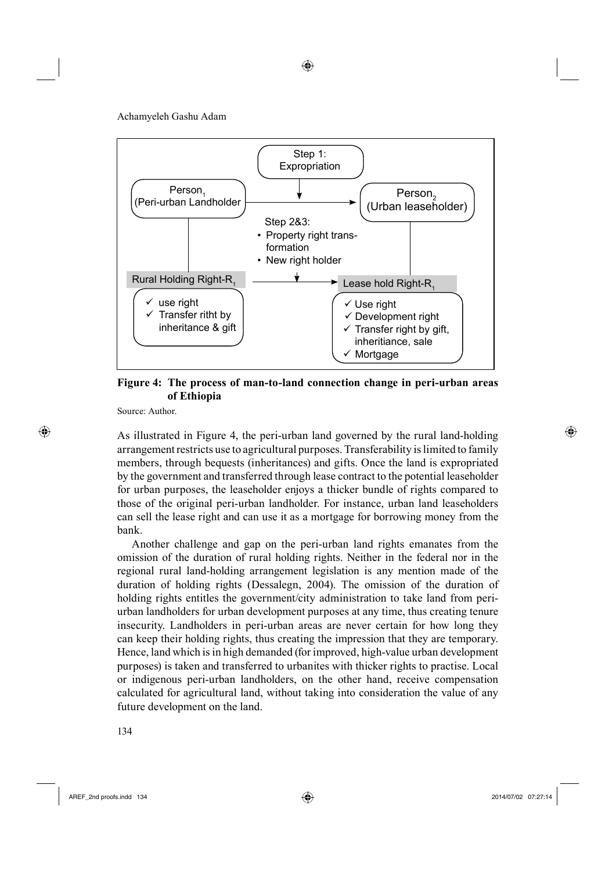⊕

Achamyeleh Gashu Adam



**Figure 4: The process of man-to-land connection change in peri-urban areas of Ethiopia**

Source: Author.

⊕

As illustrated in Figure 4, the peri-urban land governed by the rural land-holding arrangement restricts use to agricultural purposes. Transferability is limited to family members, through bequests (inheritances) and gifts. Once the land is expropriated by the government and transferred through lease contract to the potential leaseholder for urban purposes, the leaseholder enjoys a thicker bundle of rights compared to those of the original peri-urban landholder. For instance, urban land leaseholders can sell the lease right and can use it as a mortgage for borrowing money from the bank.

Another challenge and gap on the peri-urban land rights emanates from the omission of the duration of rural holding rights. Neither in the federal nor in the regional rural land-holding arrangement legislation is any mention made of the duration of holding rights (Dessalegn, 2004). The omission of the duration of holding rights entitles the government/city administration to take land from periurban landholders for urban development purposes at any time, thus creating tenure insecurity. Landholders in peri-urban areas are never certain for how long they can keep their holding rights, thus creating the impression that they are temporary. Hence, land which is in high demanded (for improved, high-value urban development purposes) is taken and transferred to urbanites with thicker rights to practise. Local or indigenous peri-urban landholders, on the other hand, receive compensation calculated for agricultural land, without taking into consideration the value of any future development on the land.

5134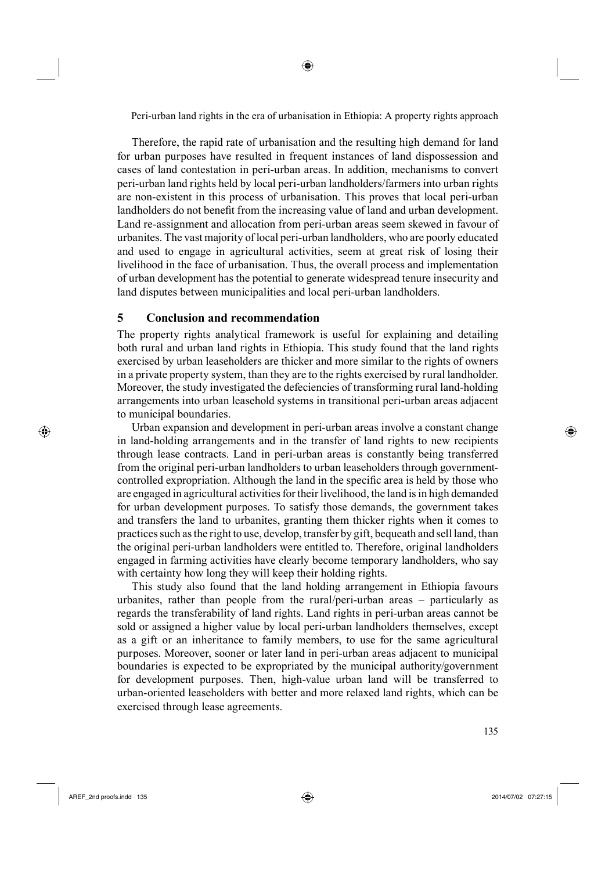◈

Therefore, the rapid rate of urbanisation and the resulting high demand for land for urban purposes have resulted in frequent instances of land dispossession and cases of land contestation in peri-urban areas. In addition, mechanisms to convert peri-urban land rights held by local peri-urban landholders/farmers into urban rights are non-existent in this process of urbanisation. This proves that local peri-urban landholders do not benefit from the increasing value of land and urban development. Land re-assignment and allocation from peri-urban areas seem skewed in favour of urbanites. The vast majority of local peri-urban landholders, who are poorly educated and used to engage in agricultural activities, seem at great risk of losing their livelihood in the face of urbanisation. Thus, the overall process and implementation of urban development has the potential to generate widespread tenure insecurity and land disputes between municipalities and local peri-urban landholders.

# **5 Conclusion and recommendation**

The property rights analytical framework is useful for explaining and detailing both rural and urban land rights in Ethiopia. This study found that the land rights exercised by urban leaseholders are thicker and more similar to the rights of owners in a private property system, than they are to the rights exercised by rural landholder. Moreover, the study investigated the defeciencies of transforming rural land-holding arrangements into urban leasehold systems in transitional peri-urban areas adjacent to municipal boundaries.

Urban expansion and development in peri-urban areas involve a constant change in land-holding arrangements and in the transfer of land rights to new recipients through lease contracts. Land in peri-urban areas is constantly being transferred from the original peri-urban landholders to urban leaseholders through governmentcontrolled expropriation. Although the land in the specific area is held by those who are engaged in agricultural activities for their livelihood, the land is in high demanded for urban development purposes. To satisfy those demands, the government takes and transfers the land to urbanites, granting them thicker rights when it comes to practices such as the right to use, develop, transfer by gift, bequeath and sell land, than the original peri-urban landholders were entitled to. Therefore, original landholders engaged in farming activities have clearly become temporary landholders, who say with certainty how long they will keep their holding rights.

This study also found that the land holding arrangement in Ethiopia favours urbanites, rather than people from the rural/peri-urban areas – particularly as regards the transferability of land rights. Land rights in peri-urban areas cannot be sold or assigned a higher value by local peri-urban landholders themselves, except as a gift or an inheritance to family members, to use for the same agricultural purposes. Moreover, sooner or later land in peri-urban areas adjacent to municipal boundaries is expected to be expropriated by the municipal authority/government for development purposes. Then, high-value urban land will be transferred to urban-oriented leaseholders with better and more relaxed land rights, which can be exercised through lease agreements.

⊕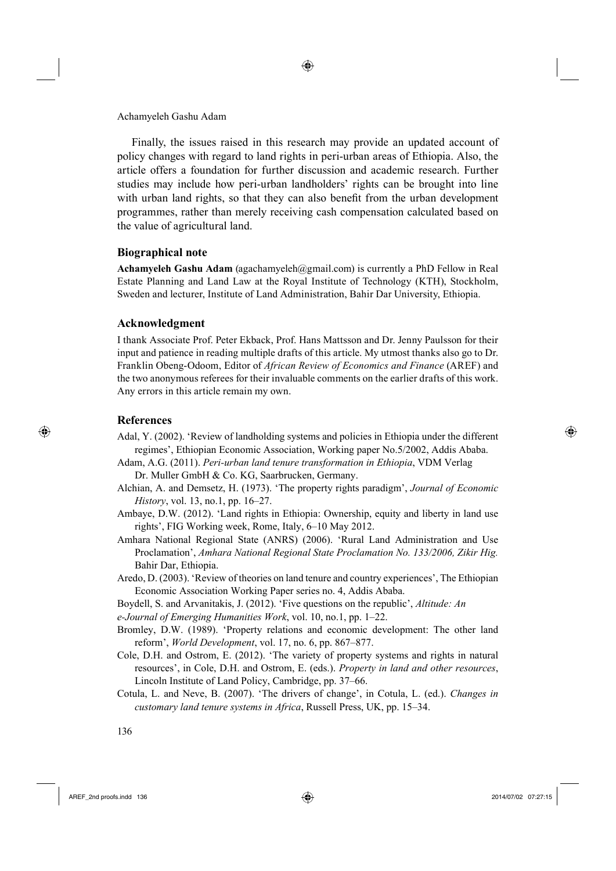Finally, the issues raised in this research may provide an updated account of policy changes with regard to land rights in peri-urban areas of Ethiopia. Also, the article offers a foundation for further discussion and academic research. Further studies may include how peri-urban landholders' rights can be brought into line with urban land rights, so that they can also benefit from the urban development programmes, rather than merely receiving cash compensation calculated based on the value of agricultural land.

◈

#### **Biographical note**

**Achamyeleh Gashu Adam** (agachamyeleh@gmail.com) is currently a PhD Fellow in Real Estate Planning and Land Law at the Royal Institute of Technology (KTH), Stockholm, Sweden and lecturer, Institute of Land Administration, Bahir Dar University, Ethiopia.

#### **Acknowledgment**

I thank Associate Prof. Peter Ekback, Prof. Hans Mattsson and Dr. Jenny Paulsson for their input and patience in reading multiple drafts of this article. My utmost thanks also go to Dr. Franklin Obeng-Odoom, Editor of *African Review of Economics and Finance* (AREF) and the two anonymous referees for their invaluable comments on the earlier drafts of this work. Any errors in this article remain my own.

### **References**

⊕

- Adal, Y. (2002). 'Review of landholding systems and policies in Ethiopia under the different regimes', Ethiopian Economic Association, Working paper No.5/2002, Addis Ababa.
- Adam, A.G. (2011). *Peri-urban land tenure transformation in Ethiopia*, VDM Verlag Dr. Muller GmbH & Co. KG, Saarbrucken, Germany.
- Alchian, A. and Demsetz, H. (1973). 'The property rights paradigm', *Journal of Economic History*, vol. 13, no.1, pp. 16–27.
- Ambaye, D.W. (2012). 'Land rights in Ethiopia: Ownership, equity and liberty in land use rights', FIG Working week, Rome, Italy, 6–10 May 2012.
- Amhara National Regional State (ANRS) (2006). 'Rural Land Administration and Use Proclamation', *Amhara National Regional State Proclamation No. 133/2006, Zikir Hig.*  Bahir Dar, Ethiopia.
- Aredo, D. (2003). 'Review of theories on land tenure and country experiences', The Ethiopian Economic Association Working Paper series no. 4, Addis Ababa.
- Boydell, S. and Arvanitakis, J. (2012). 'Five questions on the republic', *Altitude: An*

*e-Journal of Emerging Humanities Work*, vol. 10, no.1, pp. 1–22.

- Bromley, D.W. (1989). 'Property relations and economic development: The other land reform', *World Development*, vol. 17, no. 6, pp. 867–877.
- Cole, D.H. and Ostrom, E. (2012). 'The variety of property systems and rights in natural resources', in Cole, D.H. and Ostrom, E. (eds.). *Property in land and other resources*, Lincoln Institute of Land Policy, Cambridge, pp. 37–66.
- Cotula, L. and Neve, B. (2007). 'The drivers of change', in Cotula, L. (ed.). *Changes in customary land tenure systems in Africa*, Russell Press, UK, pp. 15–34.

5136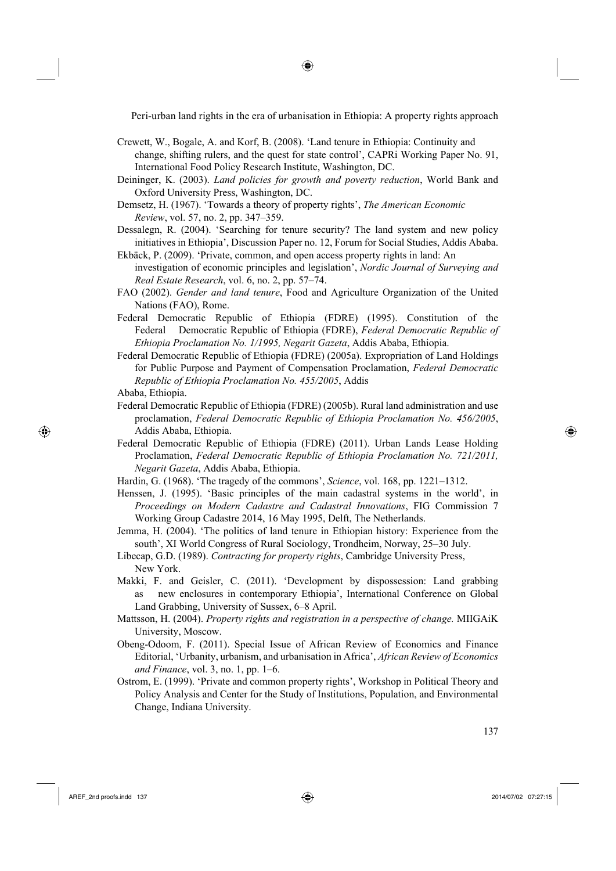◈

- Crewett, W., Bogale, A. and Korf, B. (2008). ʻLand tenure in Ethiopia: Continuity and change, shifting rulers, and the quest for state control', CAPRi Working Paper No. 91, International Food Policy Research Institute, Washington, DC.
- Deininger, K. (2003). *Land policies for growth and poverty reduction*, World Bank and Oxford University Press, Washington, DC.
- Demsetz, H. (1967). 'Towards a theory of property rights', *The American Economic Review*, vol. 57, no. 2, pp. 347–359.
- Dessalegn, R. (2004). 'Searching for tenure security? The land system and new policy initiatives in Ethiopia', Discussion Paper no. 12, Forum for Social Studies, Addis Ababa. Ekbäck, P. (2009). 'Private, common, and open access property rights in land: An
- investigation of economic principles and legislation', *Nordic Journal of Surveying and Real Estate Research*, vol. 6, no. 2, pp. 57–74.
- FAO (2002). *Gender and land tenure*, Food and Agriculture Organization of the United Nations (FAO), Rome.
- Federal Democratic Republic of Ethiopia (FDRE) (1995). Constitution of the Federal Democratic Republic of Ethiopia (FDRE), *Federal Democratic Republic of Ethiopia Proclamation No. 1/1995, Negarit Gazeta*, Addis Ababa, Ethiopia.
- Federal Democratic Republic of Ethiopia (FDRE) (2005a). Expropriation of Land Holdings for Public Purpose and Payment of Compensation Proclamation, *Federal Democratic Republic of Ethiopia Proclamation No. 455/2005*, Addis Ababa, Ethiopia.
- Federal Democratic Republic of Ethiopia (FDRE) (2005b). Rural land administration and use proclamation, *Federal Democratic Republic of Ethiopia Proclamation No. 456/2005*, Addis Ababa, Ethiopia.
- Federal Democratic Republic of Ethiopia (FDRE) (2011). Urban Lands Lease Holding Proclamation, *Federal Democratic Republic of Ethiopia Proclamation No. 721/2011, Negarit Gazeta*, Addis Ababa, Ethiopia.
- Hardin, G. (1968). 'The tragedy of the commons', *Science*, vol. 168, pp. 1221–1312.
- Henssen, J. (1995). 'Basic principles of the main cadastral systems in the world', in *Proceedings on Modern Cadastre and Cadastral Innovations*, FIG Commission 7 Working Group Cadastre 2014, 16 May 1995, Delft, The Netherlands.
- Jemma, H. (2004). 'The politics of land tenure in Ethiopian history: Experience from the south', XI World Congress of Rural Sociology, Trondheim, Norway, 25–30 July.
- Libecap, G.D. (1989). *Contracting for property rights*, Cambridge University Press, New York.
- Makki, F. and Geisler, C. (2011). 'Development by dispossession: Land grabbing as new enclosures in contemporary Ethiopia', International Conference on Global Land Grabbing, University of Sussex, 6–8 April.
- Mattsson, H. (2004). *Property rights and registration in a perspective of change.* MIIGAiK University, Moscow.
- Obeng-Odoom, F. (2011). Special Issue of African Review of Economics and Finance Editorial, 'Urbanity, urbanism, and urbanisation in Africa', *African Review of Economics and Finance*, vol. 3, no. 1, pp. 1–6.
- Ostrom, E. (1999). 'Private and common property rights', Workshop in Political Theory and Policy Analysis and Center for the Study of Institutions, Population, and Environmental Change, Indiana University.

AREF\_2nd proofs.indd 137 2014/07/02 07:27:15

⊕